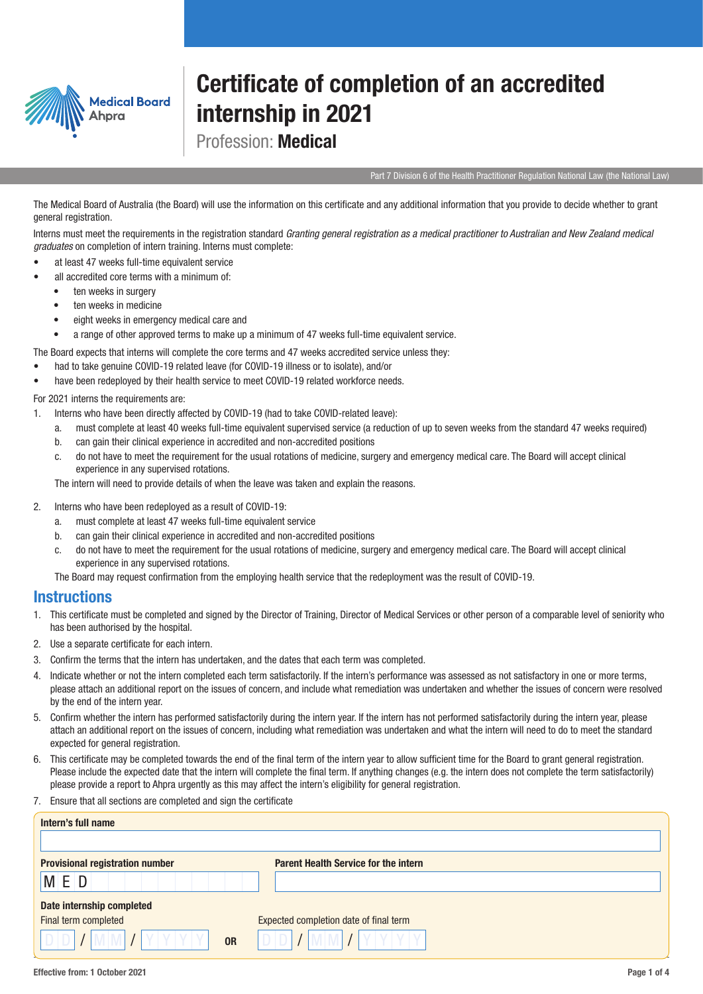

## Certificate of completion of an accredited internship in 2021

Profession: Medical

Part 7 Division 6 of the Health Practitioner Regulation National Law (the National Law)

The Medical Board of Australia (the Board) will use the information on this certificate and any additional information that you provide to decide whether to grant general registration.

Interns must meet the requirements in the registration standard *Granting general registration as a medical practitioner to Australian and New Zealand medical graduates* on completion of intern training. Interns must complete:

- at least 47 weeks full-time equivalent service
- all accredited core terms with a minimum of:
	- ten weeks in surgery
	- ten weeks in medicine
	- eight weeks in emergency medical care and
	- a range of other approved terms to make up a minimum of 47 weeks full-time equivalent service.

The Board expects that interns will complete the core terms and 47 weeks accredited service unless they:

- had to take genuine COVID-19 related leave (for COVID-19 illness or to isolate), and/or
- have been redeployed by their health service to meet COVID-19 related workforce needs.

For 2021 interns the requirements are:

- 1. Interns who have been directly affected by COVID-19 (had to take COVID-related leave):
	- a. must complete at least 40 weeks full-time equivalent supervised service (a reduction of up to seven weeks from the standard 47 weeks required)
	- b. can gain their clinical experience in accredited and non-accredited positions
	- c. do not have to meet the requirement for the usual rotations of medicine, surgery and emergency medical care. The Board will accept clinical experience in any supervised rotations.

The intern will need to provide details of when the leave was taken and explain the reasons.

- 2. Interns who have been redeployed as a result of COVID-19:
	- a. must complete at least 47 weeks full-time equivalent service
	- b. can gain their clinical experience in accredited and non-accredited positions
	- c. do not have to meet the requirement for the usual rotations of medicine, surgery and emergency medical care. The Board will accept clinical experience in any supervised rotations.

The Board may request confirmation from the employing health service that the redeployment was the result of COVID-19.

## **Instructions**

- 1. This certificate must be completed and signed by the Director of Training, Director of Medical Services or other person of a comparable level of seniority who has been authorised by the hospital.
- 2. Use a separate certificate for each intern.
- 3. Confirm the terms that the intern has undertaken, and the dates that each term was completed.
- 4. Indicate whether or not the intern completed each term satisfactorily. If the intern's performance was assessed as not satisfactory in one or more terms, please attach an additional report on the issues of concern, and include what remediation was undertaken and whether the issues of concern were resolved by the end of the intern year.
- 5. Confirm whether the intern has performed satisfactorily during the intern year. If the intern has not performed satisfactorily during the intern year, please attach an additional report on the issues of concern, including what remediation was undertaken and what the intern will need to do to meet the standard expected for general registration.
- 6. This certificate may be completed towards the end of the final term of the intern year to allow sufficient time for the Board to grant general registration. Please include the expected date that the intern will complete the final term. If anything changes (e.g. the intern does not complete the term satisfactorily) please provide a report to Ahpra urgently as this may affect the intern's eligibility for general registration.
- 7. Ensure that all sections are completed and sign the certificate

| Intern's full name                     |                                             |
|----------------------------------------|---------------------------------------------|
|                                        |                                             |
| <b>Provisional registration number</b> | <b>Parent Health Service for the intern</b> |
| M E D                                  |                                             |
| Date internship completed              |                                             |
| Final term completed                   | Expected completion date of final term      |
| <b>OR</b>                              |                                             |
|                                        |                                             |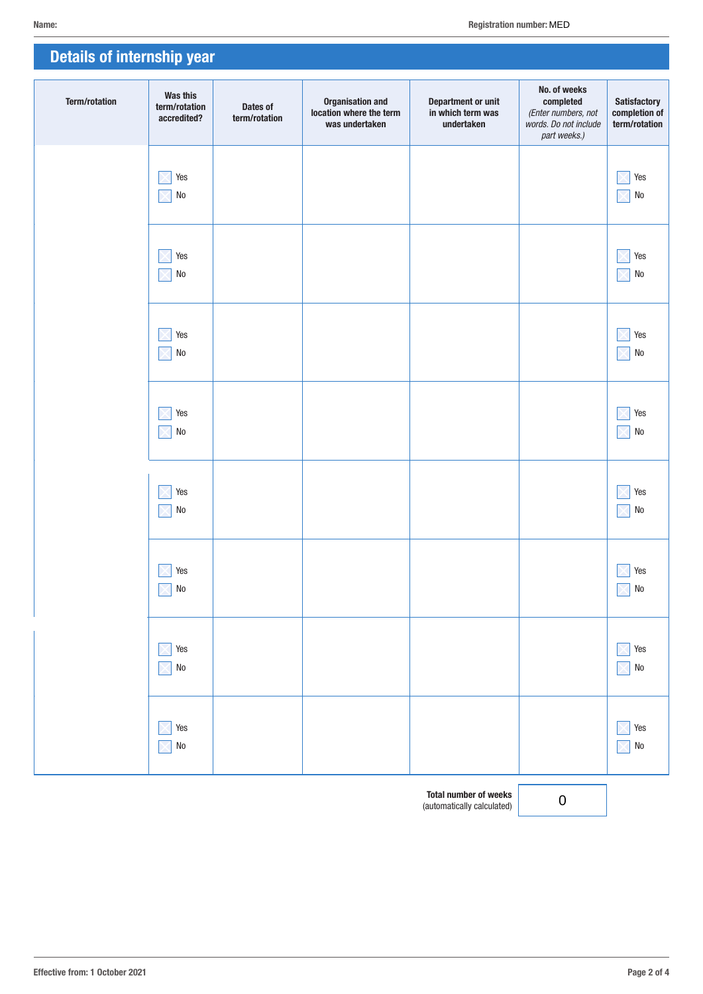| <b>Details of internship year</b> |                                          |                           |                                                                      |                                                              |                                                                                           |                                                       |
|-----------------------------------|------------------------------------------|---------------------------|----------------------------------------------------------------------|--------------------------------------------------------------|-------------------------------------------------------------------------------------------|-------------------------------------------------------|
| <b>Term/rotation</b>              | Was this<br>term/rotation<br>accredited? | Dates of<br>term/rotation | <b>Organisation and</b><br>location where the term<br>was undertaken | <b>Department or unit</b><br>in which term was<br>undertaken | No. of weeks<br>completed<br>(Enter numbers, not<br>words. Do not include<br>part weeks.) | <b>Satisfactory</b><br>completion of<br>term/rotation |
|                                   | Yes<br>$\rm No$                          |                           |                                                                      |                                                              |                                                                                           | Yes<br>${\sf No}$                                     |
|                                   | Yes<br>$\rm No$                          |                           |                                                                      |                                                              |                                                                                           | Yes<br>${\sf No}$                                     |
|                                   | Yes<br>$\rm No$                          |                           |                                                                      |                                                              |                                                                                           | Yes<br>${\sf No}$                                     |
|                                   | Yes<br>$\rm No$                          |                           |                                                                      |                                                              |                                                                                           | Yes<br>${\sf No}$                                     |
|                                   | Yes<br>$\rm No$                          |                           |                                                                      |                                                              |                                                                                           | Yes<br>${\sf No}$                                     |
|                                   | Yes<br>${\sf No}$<br>$\times$            |                           |                                                                      |                                                              |                                                                                           | Yes<br>${\sf No}$<br>$\times$                         |
|                                   | Yes<br>${\sf No}$                        |                           |                                                                      |                                                              |                                                                                           | Yes<br>${\sf No}$<br>$\times$                         |
|                                   | Yes<br>${\sf No}$                        |                           |                                                                      |                                                              |                                                                                           | Yes<br>${\sf No}$<br>$\times$                         |

Total number of weeks (automatically calculated) 0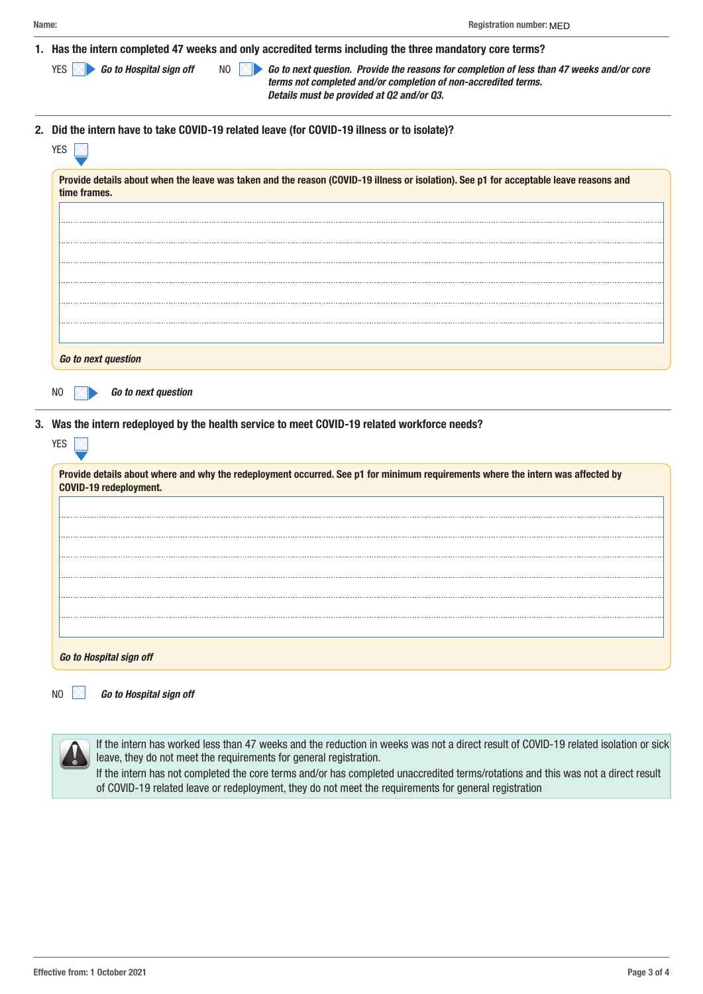| Name: |                                                                                                           | <b>Registration number: MED</b>                                                                                                                                                                          |  |
|-------|-----------------------------------------------------------------------------------------------------------|----------------------------------------------------------------------------------------------------------------------------------------------------------------------------------------------------------|--|
|       |                                                                                                           | Has the intern completed 47 weeks and only accredited terms including the three mandatory core terms?                                                                                                    |  |
|       | Go to Hospital sign off<br>NO.                                                                            | Go to next question. Provide the reasons for completion of less than 47 weeks and/or core<br>terms not completed and/or completion of non-accredited terms.<br>Details must be provided at Q2 and/or Q3. |  |
|       | 2. Did the intern have to take COVID-19 related leave (for COVID-19 illness or to isolate)?<br><b>YES</b> |                                                                                                                                                                                                          |  |
|       | time frames.                                                                                              | Provide details about when the leave was taken and the reason (COVID-19 illness or isolation). See p1 for acceptable leave reasons and                                                                   |  |
|       |                                                                                                           |                                                                                                                                                                                                          |  |
|       |                                                                                                           |                                                                                                                                                                                                          |  |

3. Was the intern redeployed by the health service to meet COVID-19 related workforce needs?

| Provide details about where and why the redeployment occurred. See p1 for minimum requirements where the intern was affected by<br>COVID-19 redeployment. |
|-----------------------------------------------------------------------------------------------------------------------------------------------------------|
|                                                                                                                                                           |
|                                                                                                                                                           |
|                                                                                                                                                           |
|                                                                                                                                                           |
|                                                                                                                                                           |
| Go to Hospital sign off                                                                                                                                   |

NO *Go to Hospital sign off*

*Go to next question*

NO *Go to next question*

If the intern has worked less than 47 weeks and the reduction in weeks was not a direct result of COVID-19 related isolation or sick leave, they do not meet the requirements for general registration.

If the intern has not completed the core terms and/or has completed unaccredited terms/rotations and this was not a direct result of COVID-19 related leave or redeployment, they do not meet the requirements for general registration